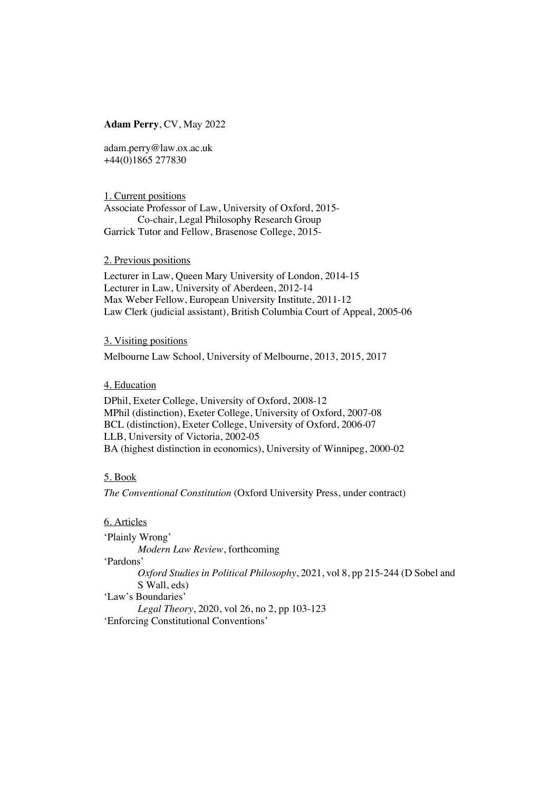## **Adam Perry**, CV, May 2022

adam.perry@law.ox.ac.uk +44(0)1865 277830

1. Current positions Associate Professor of Law, University of Oxford, 2015- Co-chair, Legal Philosophy Research Group Garrick Tutor and Fellow, Brasenose College, 2015-

2. Previous positions

Lecturer in Law, Queen Mary University of London, 2014-15 Lecturer in Law, University of Aberdeen, 2012-14 Max Weber Fellow, European University Institute, 2011-12 Law Clerk (judicial assistant), British Columbia Court of Appeal, 2005-06

## 3. Visiting positions

Melbourne Law School, University of Melbourne, 2013, 2015, 2017

4. Education

DPhil, Exeter College, University of Oxford, 2008-12 MPhil (distinction), Exeter College, University of Oxford, 2007-08 BCL (distinction), Exeter College, University of Oxford, 2006-07 LLB, University of Victoria, 2002-05 BA (highest distinction in economics), University of Winnipeg, 2000-02

## 5. Book

*The Conventional Constitution* (Oxford University Press, under contract)

6. Articles

'Plainly Wrong'

*Modern Law Review*, forthcoming

'Pardons'

*Oxford Studies in Political Philosophy*, 2021, vol 8, pp 215-244 (D Sobel and S Wall, eds)

'Law's Boundaries'

*Legal Theory*, 2020, vol 26, no 2, pp 103-123 'Enforcing Constitutional Conventions'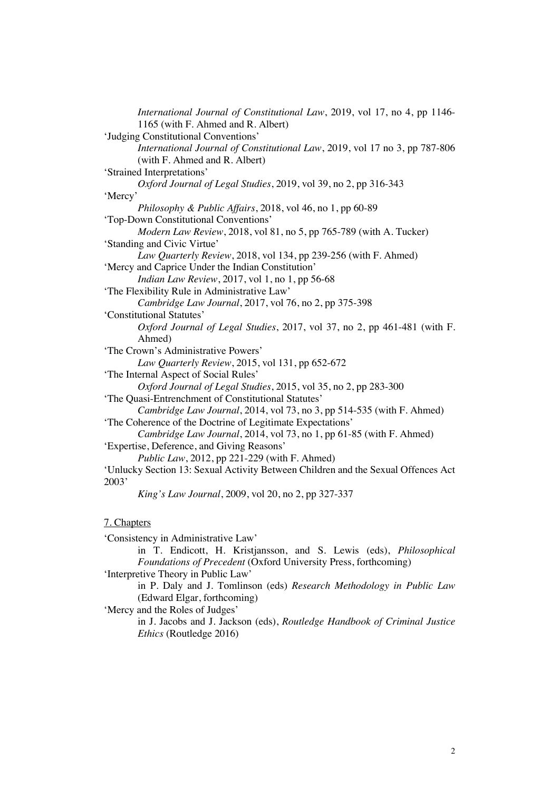| International Journal of Constitutional Law, 2019, vol 17, no 4, pp 1146-         |
|-----------------------------------------------------------------------------------|
| 1165 (with F. Ahmed and R. Albert)                                                |
| 'Judging Constitutional Conventions'                                              |
| International Journal of Constitutional Law, 2019, vol 17 no 3, pp 787-806        |
| (with F. Ahmed and R. Albert)                                                     |
| 'Strained Interpretations'                                                        |
| Oxford Journal of Legal Studies, 2019, vol 39, no 2, pp 316-343                   |
| 'Mercy'                                                                           |
| Philosophy & Public Affairs, 2018, vol 46, no 1, pp 60-89                         |
| 'Top-Down Constitutional Conventions'                                             |
| Modern Law Review, 2018, vol 81, no 5, pp 765-789 (with A. Tucker)                |
| 'Standing and Civic Virtue'                                                       |
| Law Quarterly Review, 2018, vol 134, pp 239-256 (with F. Ahmed)                   |
| 'Mercy and Caprice Under the Indian Constitution'                                 |
| <i>Indian Law Review</i> , 2017, vol 1, no 1, pp 56-68                            |
| 'The Flexibility Rule in Administrative Law'                                      |
| Cambridge Law Journal, 2017, vol 76, no 2, pp 375-398                             |
| 'Constitutional Statutes'                                                         |
| Oxford Journal of Legal Studies, 2017, vol 37, no 2, pp 461-481 (with F.          |
| Ahmed)                                                                            |
| 'The Crown's Administrative Powers'                                               |
| Law Quarterly Review, 2015, vol 131, pp 652-672                                   |
| 'The Internal Aspect of Social Rules'                                             |
| Oxford Journal of Legal Studies, 2015, vol 35, no 2, pp 283-300                   |
| 'The Quasi-Entrenchment of Constitutional Statutes'                               |
| Cambridge Law Journal, 2014, vol 73, no 3, pp 514-535 (with F. Ahmed)             |
| 'The Coherence of the Doctrine of Legitimate Expectations'                        |
| Cambridge Law Journal, 2014, vol 73, no 1, pp 61-85 (with F. Ahmed)               |
| 'Expertise, Deference, and Giving Reasons'                                        |
| <i>Public Law</i> , 2012, pp 221-229 (with F. Ahmed)                              |
| 'Unlucky Section 13: Sexual Activity Between Children and the Sexual Offences Act |
| 2003'                                                                             |
| King's Law Journal, 2009, vol 20, no 2, pp 327-337                                |
| 7. Chapters                                                                       |
| 'Consistency in Administrative Law'                                               |

in T. Endicott, H. Kristjansson, and S. Lewis (eds), *Philosophical* 

*Foundations of Precedent* (Oxford University Press, forthcoming)

'Interpretive Theory in Public Law'

in P. Daly and J. Tomlinson (eds) *Research Methodology in Public Law*  (Edward Elgar, forthcoming)

'Mercy and the Roles of Judges'

in J. Jacobs and J. Jackson (eds), *Routledge Handbook of Criminal Justice Ethics* (Routledge 2016)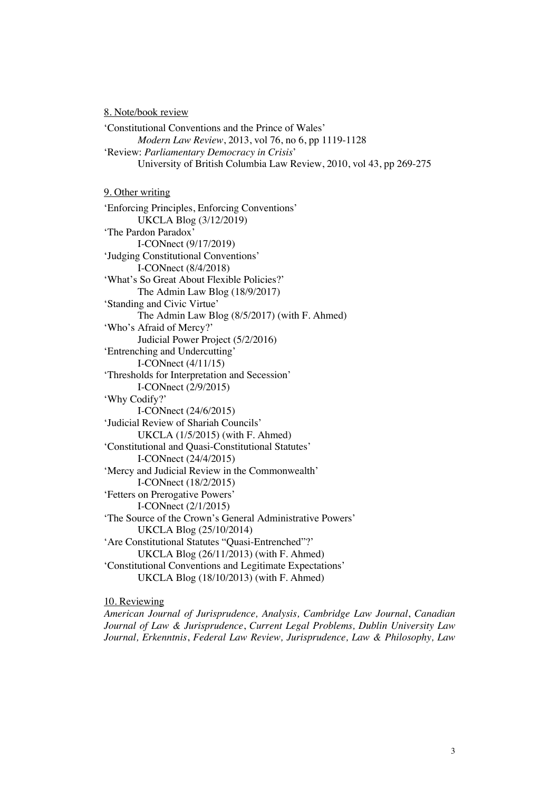8. Note/book review

'Constitutional Conventions and the Prince of Wales' *Modern Law Review*, 2013, vol 76, no 6, pp 1119-1128 'Review: *Parliamentary Democracy in Crisis*' University of British Columbia Law Review, 2010, vol 43, pp 269-275

9. Other writing

'Enforcing Principles, Enforcing Conventions' UKCLA Blog (3/12/2019) 'The Pardon Paradox' I-CONnect (9/17/2019) 'Judging Constitutional Conventions' I-CONnect (8/4/2018) 'What's So Great About Flexible Policies?' The Admin Law Blog (18/9/2017) 'Standing and Civic Virtue' The Admin Law Blog (8/5/2017) (with F. Ahmed) 'Who's Afraid of Mercy?' Judicial Power Project (5/2/2016) 'Entrenching and Undercutting' I-CONnect (4/11/15) 'Thresholds for Interpretation and Secession' I-CONnect (2/9/2015) 'Why Codify?' I-CONnect (24/6/2015) 'Judicial Review of Shariah Councils' UKCLA (1/5/2015) (with F. Ahmed) 'Constitutional and Quasi-Constitutional Statutes' I-CONnect (24/4/2015) 'Mercy and Judicial Review in the Commonwealth' I-CONnect (18/2/2015) 'Fetters on Prerogative Powers' I-CONnect (2/1/2015) 'The Source of the Crown's General Administrative Powers' UKCLA Blog (25/10/2014) 'Are Constitutional Statutes "Quasi-Entrenched"?' UKCLA Blog (26/11/2013) (with F. Ahmed) 'Constitutional Conventions and Legitimate Expectations' UKCLA Blog (18/10/2013) (with F. Ahmed)

10. Reviewing

*American Journal of Jurisprudence, Analysis, Cambridge Law Journal*, *Canadian Journal of Law & Jurisprudence*, *Current Legal Problems, Dublin University Law Journal, Erkenntnis*, *Federal Law Review, Jurisprudence, Law & Philosophy, Law*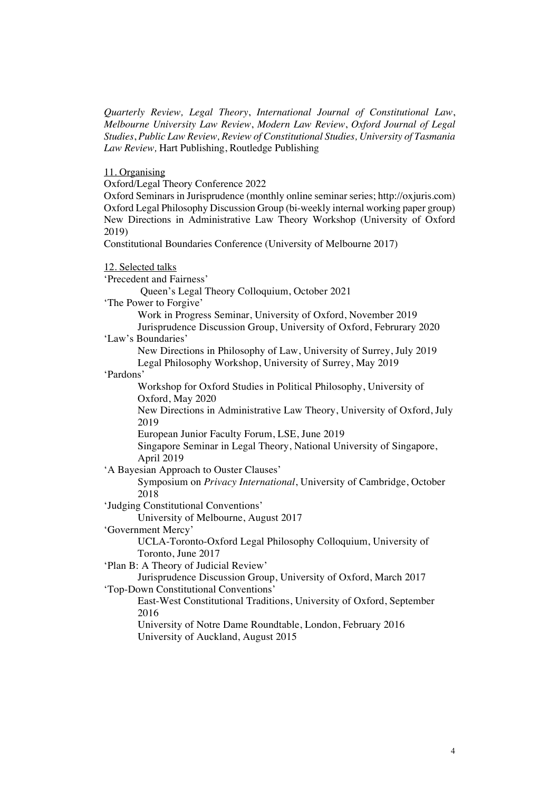*Quarterly Review, Legal Theory*, *International Journal of Constitutional Law*, *Melbourne University Law Review*, *Modern Law Review*, *Oxford Journal of Legal Studies*, *Public Law Review, Review of Constitutional Studies, University of Tasmania Law Review,* Hart Publishing, Routledge Publishing

11. Organising

Oxford/Legal Theory Conference 2022

Oxford Seminars in Jurisprudence (monthly online seminar series; http://oxjuris.com) Oxford Legal Philosophy Discussion Group (bi-weekly internal working paper group) New Directions in Administrative Law Theory Workshop (University of Oxford 2019)

Constitutional Boundaries Conference (University of Melbourne 2017)

| 12. Selected talks                                                      |
|-------------------------------------------------------------------------|
| 'Precedent and Fairness'                                                |
| Queen's Legal Theory Colloquium, October 2021                           |
| 'The Power to Forgive'                                                  |
| Work in Progress Seminar, University of Oxford, November 2019           |
| Jurisprudence Discussion Group, University of Oxford, Februrary 2020    |
| 'Law's Boundaries'                                                      |
| New Directions in Philosophy of Law, University of Surrey, July 2019    |
| Legal Philosophy Workshop, University of Surrey, May 2019               |
| 'Pardons'                                                               |
| Workshop for Oxford Studies in Political Philosophy, University of      |
| Oxford, May 2020                                                        |
| New Directions in Administrative Law Theory, University of Oxford, July |
| 2019                                                                    |
| European Junior Faculty Forum, LSE, June 2019                           |
| Singapore Seminar in Legal Theory, National University of Singapore,    |
| April 2019                                                              |
| 'A Bayesian Approach to Ouster Clauses'                                 |
| Symposium on Privacy International, University of Cambridge, October    |
| 2018                                                                    |
| 'Judging Constitutional Conventions'                                    |
| University of Melbourne, August 2017                                    |
| 'Government Mercy'                                                      |
| UCLA-Toronto-Oxford Legal Philosophy Colloquium, University of          |
| Toronto, June 2017                                                      |
| 'Plan B: A Theory of Judicial Review'                                   |
| Jurisprudence Discussion Group, University of Oxford, March 2017        |
| 'Top-Down Constitutional Conventions'                                   |
| East-West Constitutional Traditions, University of Oxford, September    |
| 2016                                                                    |

University of Notre Dame Roundtable, London, February 2016 University of Auckland, August 2015